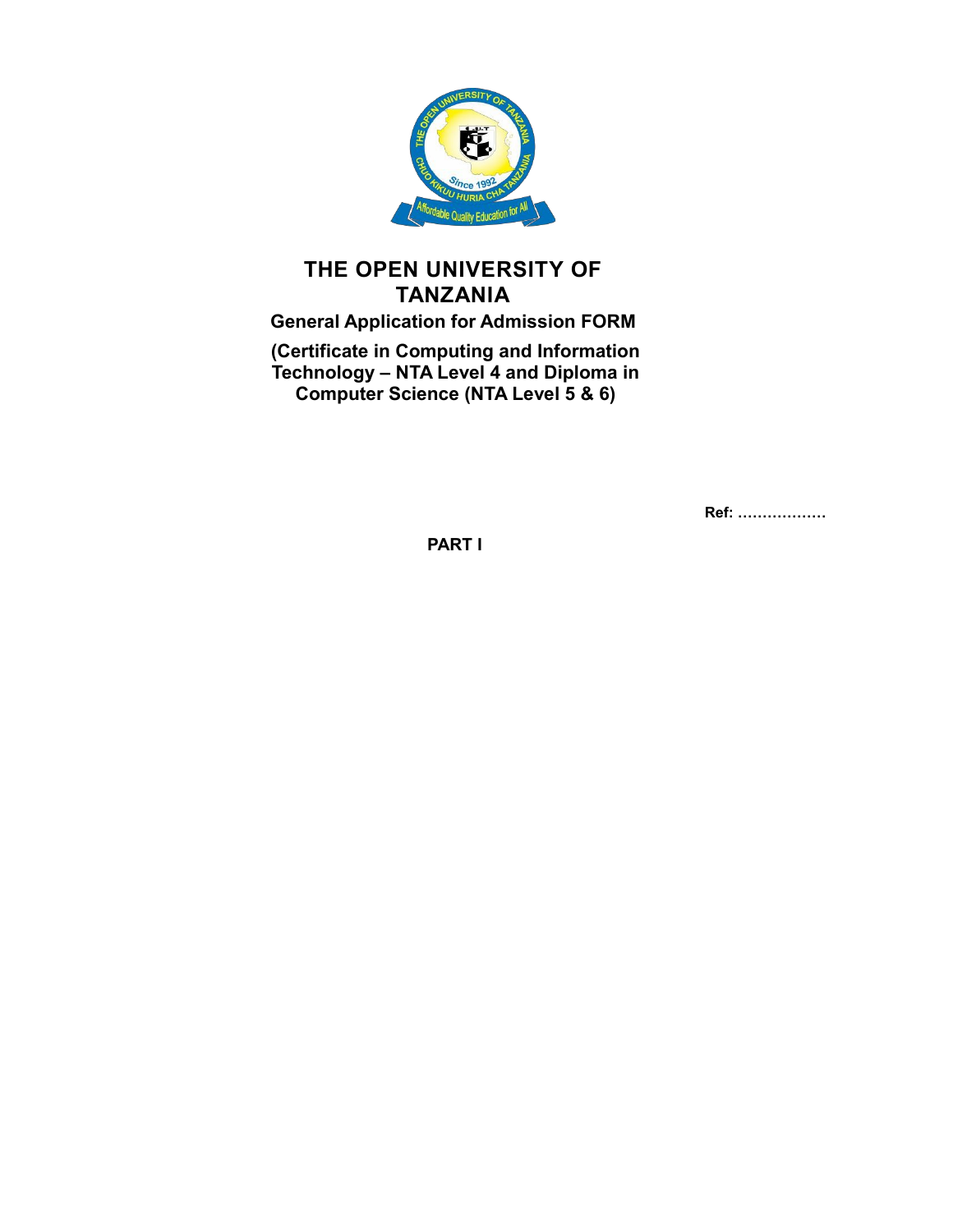

## **THE OPEN UNIVERSITY OF TANZANIA**

# **General Application for Admission FORM**

**(Certificate in Computing and Information Technology – NTA Level 4 and Diploma in Computer Science (NTA Level 5 & 6)**

**Ref: ………………**

**PART I**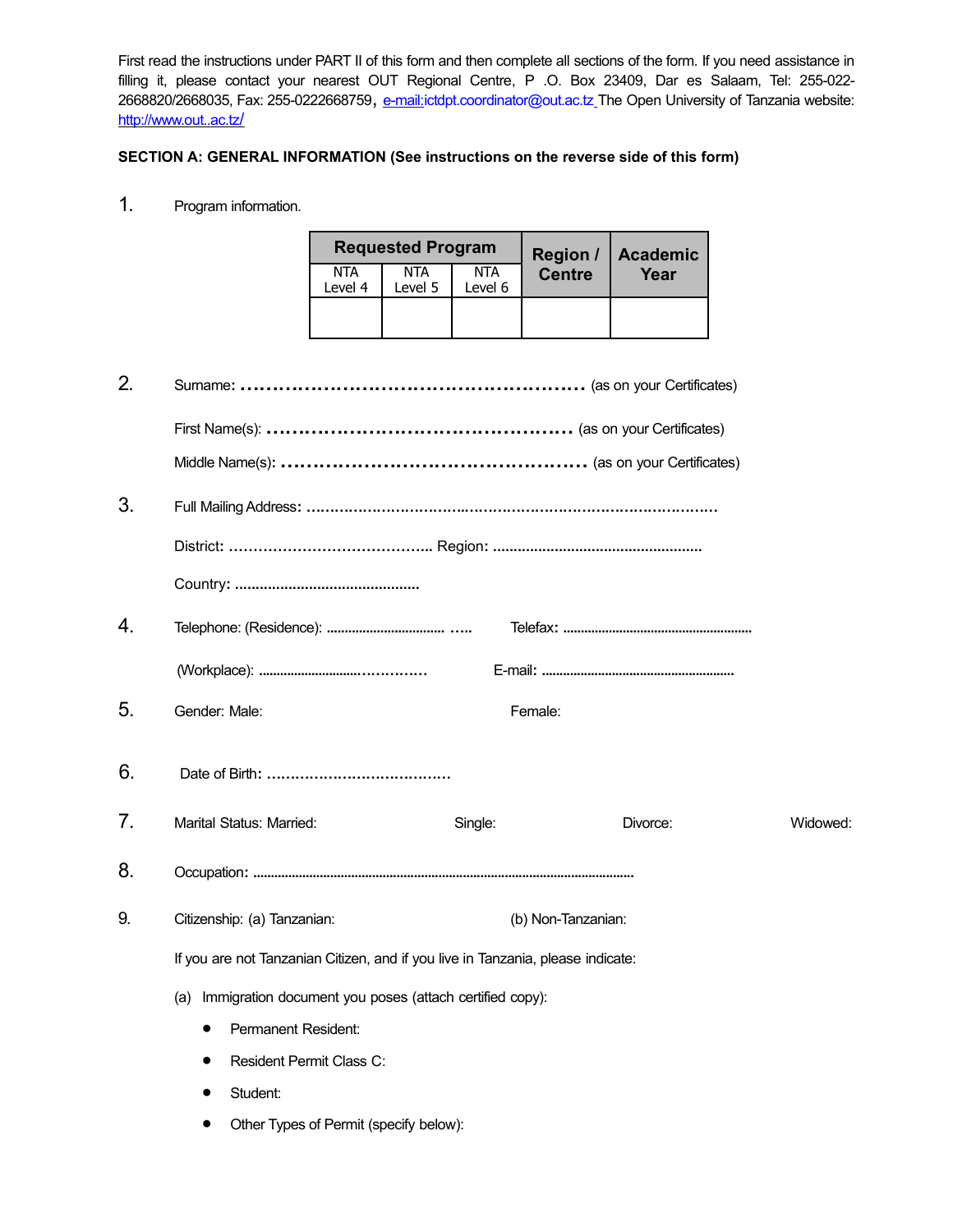First read the instructions under PART II of this form and then complete all sections of the form. If you need assistance in filling it, please contact your nearest OUT Regional Centre, P .O. Box 23409, Dar es Salaam, Tel: 255-022 2668820/2668035, Fax: 255-0222668759, [e-mail:](mailto:dvc-ac@out.ac.tz)[ictdpt.coordinator@out.ac.tz](mailto:ictdpt.coordinator@out.ac.tz%20)\_The Open University of Tanzania website: http://www.out..ac.tz/

## **SECTION A: GENERAL INFORMATION (See instructions on the reverse side of this form)**

1. Program information.

|                       | <b>Requested Program</b> |                       | Region /      | Academic |  |
|-----------------------|--------------------------|-----------------------|---------------|----------|--|
| <b>NTA</b><br>Level 4 | <b>NTA</b><br>Level 5    | <b>NTA</b><br>Level 6 | <b>Centre</b> | Year     |  |
|                       |                          |                       |               |          |  |

| 2. |                                                                                 |                    |          |          |
|----|---------------------------------------------------------------------------------|--------------------|----------|----------|
|    |                                                                                 |                    |          |          |
|    |                                                                                 |                    |          |          |
| 3. |                                                                                 |                    |          |          |
|    |                                                                                 |                    |          |          |
|    |                                                                                 |                    |          |          |
| 4. |                                                                                 |                    |          |          |
|    |                                                                                 |                    |          |          |
| 5. | Gender: Male:                                                                   | Female:            |          |          |
| 6. |                                                                                 |                    |          |          |
| 7. | Marital Status: Married:                                                        | Single:            | Divorce: | Widowed: |
| 8. |                                                                                 |                    |          |          |
| 9. | Citizenship: (a) Tanzanian:                                                     | (b) Non-Tanzanian: |          |          |
|    | If you are not Tanzanian Citizen, and if you live in Tanzania, please indicate: |                    |          |          |
|    | (a) Immigration document you poses (attach certified copy):                     |                    |          |          |
|    | Permanent Resident:<br>$\bullet$                                                |                    |          |          |
|    | Resident Permit Class C:                                                        |                    |          |          |
|    | Student:                                                                        |                    |          |          |

Other Types of Permit (specify below):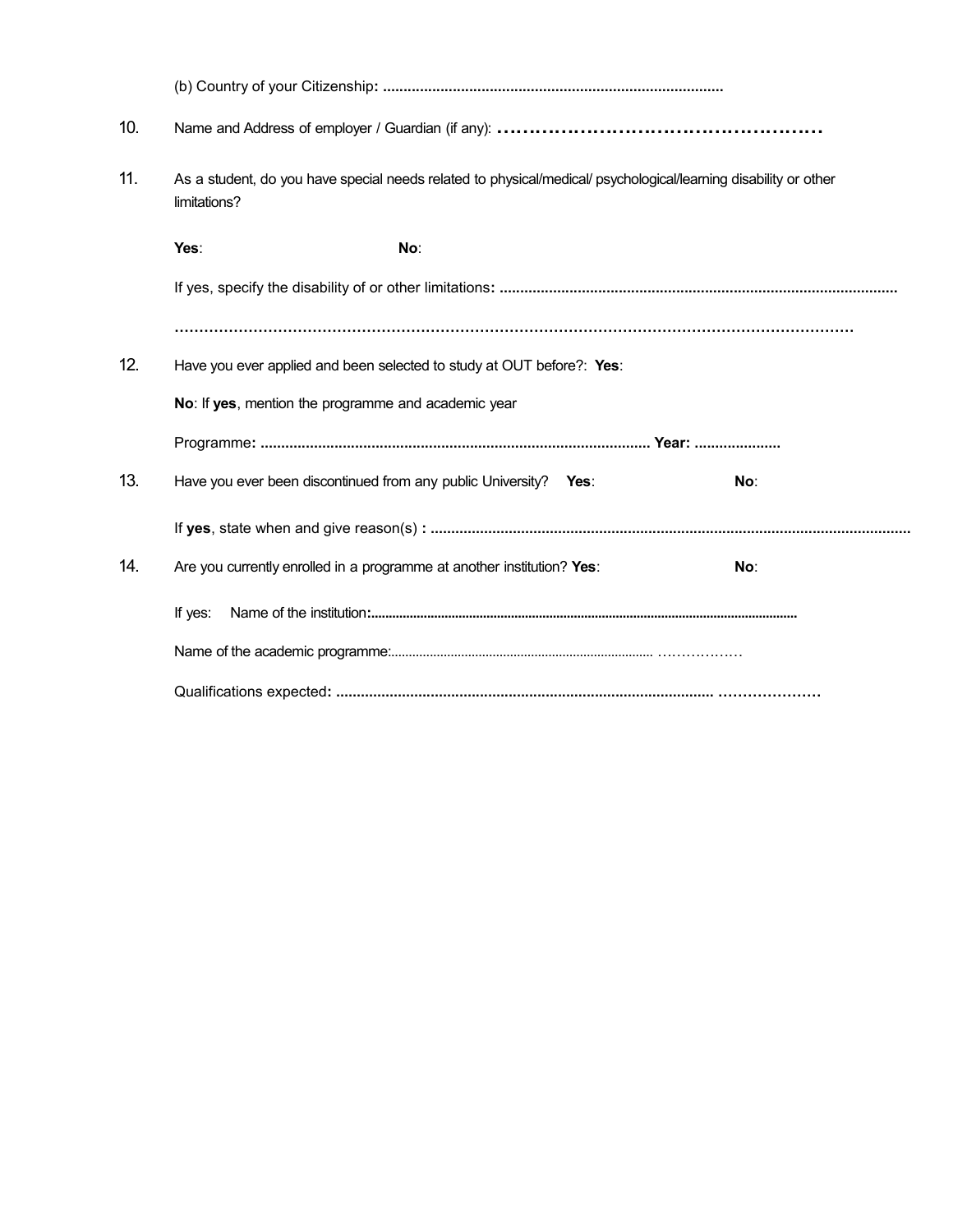| 10. |                                                                                                                                 |      |     |
|-----|---------------------------------------------------------------------------------------------------------------------------------|------|-----|
| 11. | As a student, do you have special needs related to physical/medical/ psychological/learning disability or other<br>limitations? |      |     |
|     | Yes:<br>No:                                                                                                                     |      |     |
|     |                                                                                                                                 |      |     |
|     |                                                                                                                                 |      |     |
| 12. | Have you ever applied and been selected to study at OUT before?: Yes:                                                           |      |     |
|     | No: If yes, mention the programme and academic year                                                                             |      |     |
|     |                                                                                                                                 |      |     |
| 13. | Have you ever been discontinued from any public University?                                                                     | Yes∶ | No: |
|     |                                                                                                                                 |      |     |
| 14. | Are you currently enrolled in a programme at another institution? Yes:                                                          |      | No: |
|     | If yes:                                                                                                                         |      |     |
|     |                                                                                                                                 |      |     |
|     |                                                                                                                                 |      |     |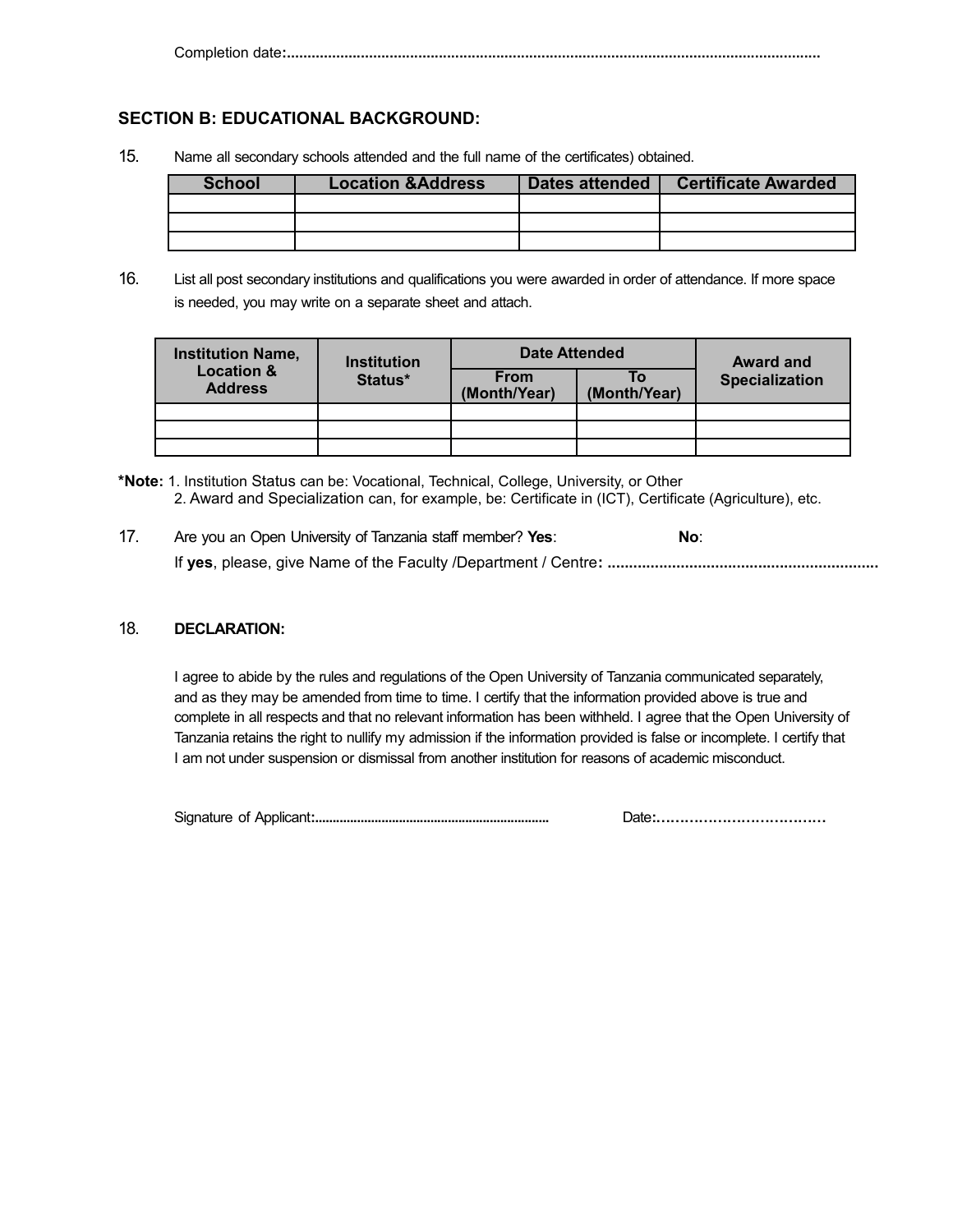Completion date**:..................................................................................................................................**

## **SECTION B: EDUCATIONAL BACKGROUND:**

15. Name all secondary schools attended and the full name of the certificates) obtained.

| School | <b>Location &amp; Address</b> | Dates attended | <b>Certificate Awarded</b> |
|--------|-------------------------------|----------------|----------------------------|
|        |                               |                |                            |
|        |                               |                |                            |
|        |                               |                |                            |

16. List all post secondary institutions and qualifications you were awarded in order of attendance. If more space is needed, you may write on a separate sheet and attach.

| <b>Institution Name,</b>                | <b>Institution</b> | <b>Date Attended</b>        |                    | <b>Award and</b>      |
|-----------------------------------------|--------------------|-----------------------------|--------------------|-----------------------|
| <b>Location &amp;</b><br><b>Address</b> | Status*            | <b>From</b><br>(Month/Year) | Τo<br>(Month/Year) | <b>Specialization</b> |
|                                         |                    |                             |                    |                       |
|                                         |                    |                             |                    |                       |
|                                         |                    |                             |                    |                       |

**<sup>\*</sup>Note:** 1. Institution Status can be: Vocational, Technical, College, University, or Other 2. Award and Specialization can, for example, be: Certificate in (ICT), Certificate (Agriculture), etc.

| 17. | Are you an Open University of Tanzania staff member? Yes: | No: |
|-----|-----------------------------------------------------------|-----|
|     |                                                           |     |

## 18. **DECLARATION:**

I agree to abide by the rules and regulations of the Open University of Tanzania communicated separately, and as they may be amended from time to time. I certify that the information provided above is true and complete in all respects and that no relevant information has been withheld. I agree that the Open University of Tanzania retains the right to nullify my admission if the information provided is false or incomplete. I certify that I am not under suspension or dismissal from another institution for reasons of academic misconduct.

Signature of Applicant**:...................................................................** Date**:………………………………**